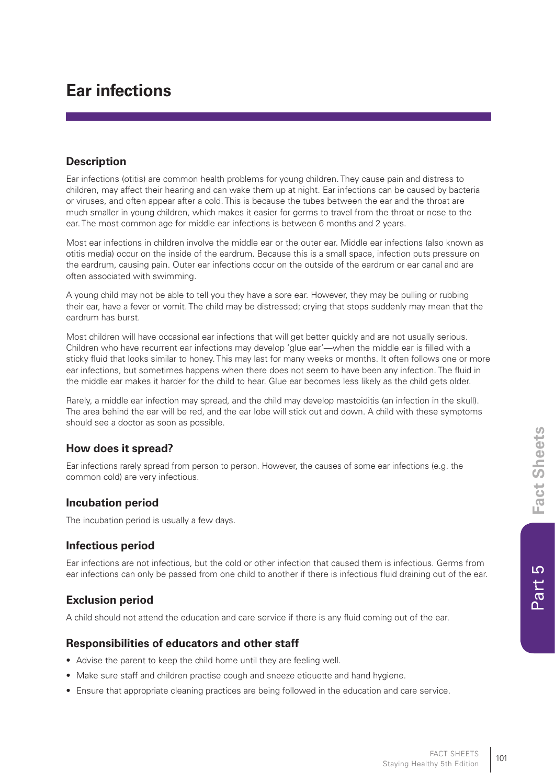$\overline{c}$ 

Part!

# **Ear infections**

#### **Description**

Ear infections (otitis) are common health problems for young children. They cause pain and distress to children, may affect their hearing and can wake them up at night. Ear infections can be caused by bacteria or viruses, and often appear after a cold. This is because the tubes between the ear and the throat are much smaller in young children, which makes it easier for germs to travel from the throat or nose to the ear. The most common age for middle ear infections is between 6 months and 2 years.

Most ear infections in children involve the middle ear or the outer ear. Middle ear infections (also known as otitis media) occur on the inside of the eardrum. Because this is a small space, infection puts pressure on the eardrum, causing pain. Outer ear infections occur on the outside of the eardrum or ear canal and are often associated with swimming.

A young child may not be able to tell you they have a sore ear. However, they may be pulling or rubbing their ear, have a fever or vomit. The child may be distressed; crying that stops suddenly may mean that the eardrum has burst.

Most children will have occasional ear infections that will get better quickly and are not usually serious. Children who have recurrent ear infections may develop 'glue ear'—when the middle ear is filled with a sticky fluid that looks similar to honey. This may last for many weeks or months. It often follows one or more ear infections, but sometimes happens when there does not seem to have been any infection. The fluid in the middle ear makes it harder for the child to hear. Glue ear becomes less likely as the child gets older.

Rarely, a middle ear infection may spread, and the child may develop mastoiditis (an infection in the skull). The area behind the ear will be red, and the ear lobe will stick out and down. A child with these symptoms should see a doctor as soon as possible.

## **How does it spread?**

Ear infections rarely spread from person to person. However, the causes of some ear infections (e.g. the common cold) are very infectious.

#### **Incubation period**

The incubation period is usually a few days.

## **Infectious period**

Ear infections are not infectious, but the cold or other infection that caused them is infectious. Germs from ear infections can only be passed from one child to another if there is infectious fluid draining out of the ear.

## **Exclusion period**

A child should not attend the education and care service if there is any fluid coming out of the ear.

## **Responsibilities of educators and other staff**

- Advise the parent to keep the child home until they are feeling well.
- Make sure staff and children practise cough and sneeze etiquette and hand hygiene.
- Ensure that appropriate cleaning practices are being followed in the education and care service.